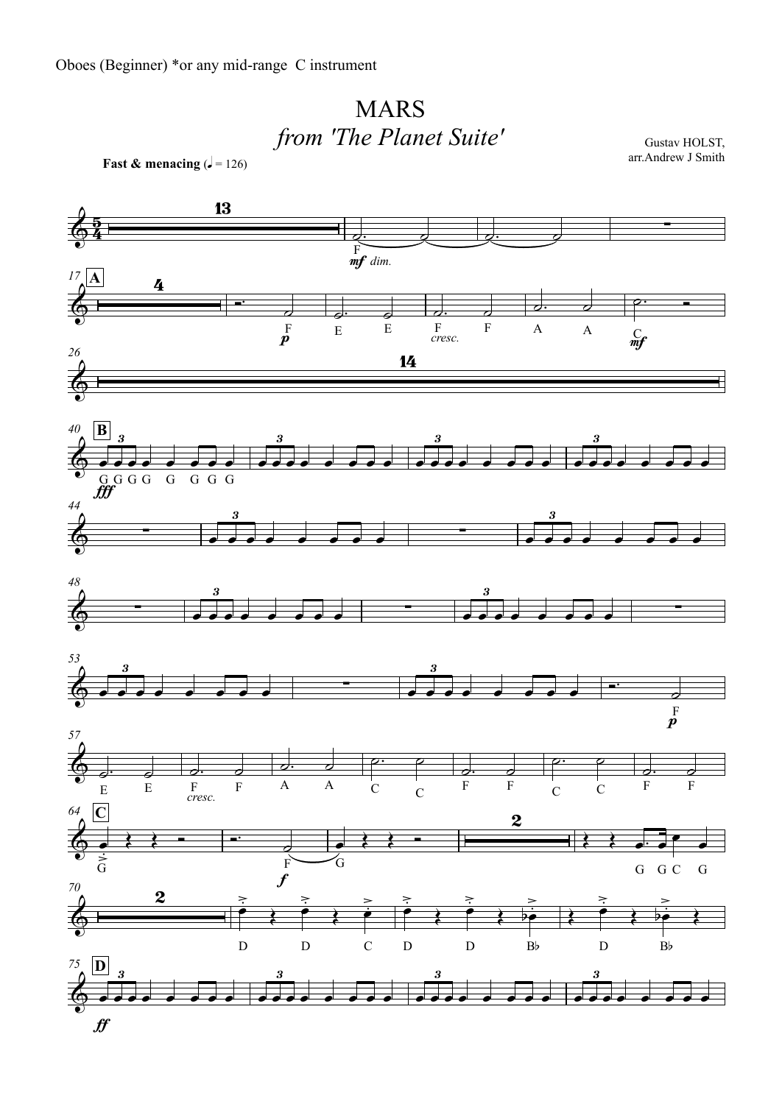## MARS*from 'The Planet Suite'*

**Fast & menacing**  $(1 - 126)$ 



Gustav HOLST, arr.Andrew J Smith